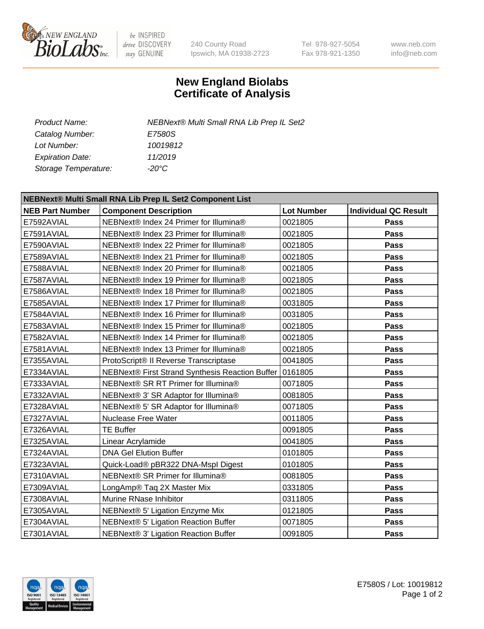

 $be$  INSPIRED drive DISCOVERY stay GENUINE

240 County Road Ipswich, MA 01938-2723 Tel 978-927-5054 Fax 978-921-1350 www.neb.com info@neb.com

## **New England Biolabs Certificate of Analysis**

| <b>Product Name:</b>    | NEBNext® Multi Small RNA Lib Prep IL Set2 |
|-------------------------|-------------------------------------------|
| Catalog Number:         | <i>E7580S</i>                             |
| Lot Number:             | 10019812                                  |
| <b>Expiration Date:</b> | 11/2019                                   |
| Storage Temperature:    | -20°C                                     |

| NEBNext® Multi Small RNA Lib Prep IL Set2 Component List |                                                           |                   |                             |  |  |
|----------------------------------------------------------|-----------------------------------------------------------|-------------------|-----------------------------|--|--|
| <b>NEB Part Number</b>                                   | <b>Component Description</b>                              | <b>Lot Number</b> | <b>Individual QC Result</b> |  |  |
| E7592AVIAL                                               | NEBNext® Index 24 Primer for Illumina®                    | 0021805           | <b>Pass</b>                 |  |  |
| E7591AVIAL                                               | NEBNext® Index 23 Primer for Illumina®                    | 0021805           | <b>Pass</b>                 |  |  |
| E7590AVIAL                                               | NEBNext® Index 22 Primer for Illumina®                    | 0021805           | <b>Pass</b>                 |  |  |
| E7589AVIAL                                               | NEBNext® Index 21 Primer for Illumina®                    | 0021805           | <b>Pass</b>                 |  |  |
| E7588AVIAL                                               | NEBNext® Index 20 Primer for Illumina®                    | 0021805           | <b>Pass</b>                 |  |  |
| E7587AVIAL                                               | NEBNext® Index 19 Primer for Illumina®                    | 0021805           | <b>Pass</b>                 |  |  |
| E7586AVIAL                                               | NEBNext® Index 18 Primer for Illumina®                    | 0021805           | <b>Pass</b>                 |  |  |
| E7585AVIAL                                               | NEBNext® Index 17 Primer for Illumina®                    | 0031805           | <b>Pass</b>                 |  |  |
| E7584AVIAL                                               | NEBNext® Index 16 Primer for Illumina®                    | 0031805           | <b>Pass</b>                 |  |  |
| E7583AVIAL                                               | NEBNext® Index 15 Primer for Illumina®                    | 0021805           | <b>Pass</b>                 |  |  |
| E7582AVIAL                                               | NEBNext® Index 14 Primer for Illumina®                    | 0021805           | <b>Pass</b>                 |  |  |
| E7581AVIAL                                               | NEBNext® Index 13 Primer for Illumina®                    | 0021805           | <b>Pass</b>                 |  |  |
| E7355AVIAL                                               | ProtoScript® II Reverse Transcriptase                     | 0041805           | Pass                        |  |  |
| E7334AVIAL                                               | NEBNext® First Strand Synthesis Reaction Buffer   0161805 |                   | <b>Pass</b>                 |  |  |
| E7333AVIAL                                               | NEBNext® SR RT Primer for Illumina®                       | 0071805           | <b>Pass</b>                 |  |  |
| E7332AVIAL                                               | NEBNext® 3' SR Adaptor for Illumina®                      | 0081805           | <b>Pass</b>                 |  |  |
| E7328AVIAL                                               | NEBNext® 5' SR Adaptor for Illumina®                      | 0071805           | Pass                        |  |  |
| E7327AVIAL                                               | Nuclease Free Water                                       | 0011805           | Pass                        |  |  |
| E7326AVIAL                                               | <b>TE Buffer</b>                                          | 0091805           | <b>Pass</b>                 |  |  |
| E7325AVIAL                                               | Linear Acrylamide                                         | 0041805           | <b>Pass</b>                 |  |  |
| E7324AVIAL                                               | <b>DNA Gel Elution Buffer</b>                             | 0101805           | <b>Pass</b>                 |  |  |
| E7323AVIAL                                               | Quick-Load® pBR322 DNA-Mspl Digest                        | 0101805           | Pass                        |  |  |
| E7310AVIAL                                               | NEBNext® SR Primer for Illumina®                          | 0081805           | <b>Pass</b>                 |  |  |
| E7309AVIAL                                               | LongAmp® Taq 2X Master Mix                                | 0331805           | <b>Pass</b>                 |  |  |
| E7308AVIAL                                               | Murine RNase Inhibitor                                    | 0311805           | <b>Pass</b>                 |  |  |
| E7305AVIAL                                               | NEBNext® 5' Ligation Enzyme Mix                           | 0121805           | <b>Pass</b>                 |  |  |
| E7304AVIAL                                               | NEBNext® 5' Ligation Reaction Buffer                      | 0071805           | <b>Pass</b>                 |  |  |
| E7301AVIAL                                               | NEBNext® 3' Ligation Reaction Buffer                      | 0091805           | <b>Pass</b>                 |  |  |